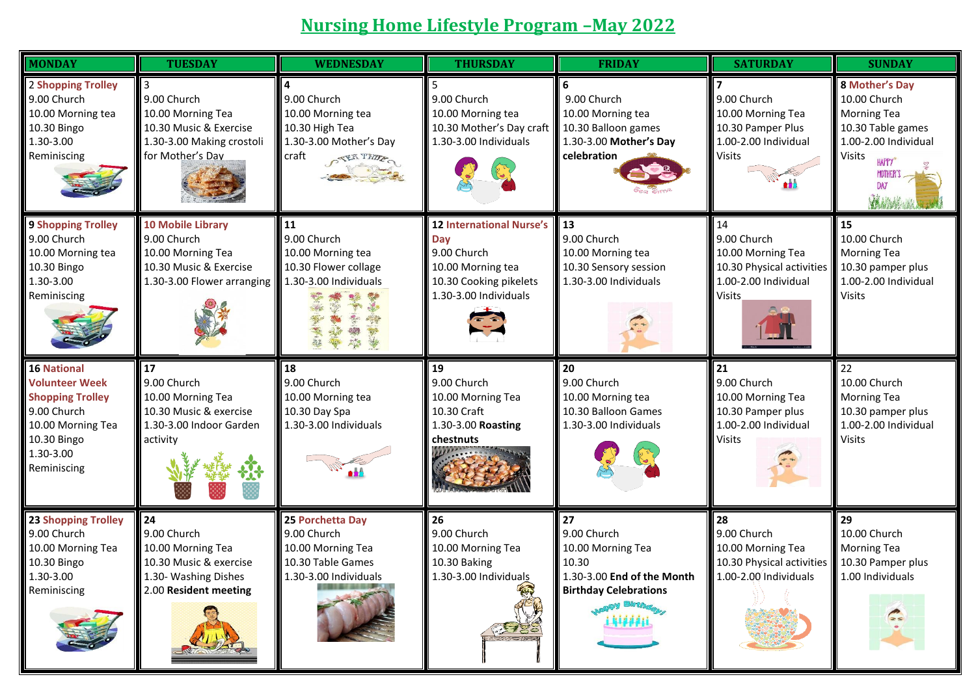## **Nursing Home Lifestyle Program –May 2022**

| <b>MONDAY</b>                                                                                                                                         | <b>TUESDAY</b>                                                                                                       | <b>WEDNESDAY</b>                                                                                                  | <b>THURSDAY</b>                                                                                                               | <b>FRIDAY</b>                                                                                                                             | <b>SATURDAY</b>                                                                                              | <b>SUNDAY</b>                                                                                                                                            |
|-------------------------------------------------------------------------------------------------------------------------------------------------------|----------------------------------------------------------------------------------------------------------------------|-------------------------------------------------------------------------------------------------------------------|-------------------------------------------------------------------------------------------------------------------------------|-------------------------------------------------------------------------------------------------------------------------------------------|--------------------------------------------------------------------------------------------------------------|----------------------------------------------------------------------------------------------------------------------------------------------------------|
| 2 Shopping Trolley<br>9.00 Church<br>10.00 Morning tea<br>10.30 Bingo<br>1.30-3.00<br>Reminiscing                                                     | 9.00 Church<br>10.00 Morning Tea<br>10.30 Music & Exercise<br>1.30-3.00 Making crostoli<br>for Mother's Dav          | 9.00 Church<br>10.00 Morning tea<br>10.30 High Tea<br>1.30-3.00 Mother's Day<br>craft<br>OTER THE                 | 9.00 Church<br>10.00 Morning tea<br>10.30 Mother's Day craft<br>1.30-3.00 Individuals                                         | 9.00 Church<br>10.00 Morning tea<br>10.30 Balloon games<br>1.30-3.00 Mother's Day<br>celebration                                          | 9.00 Church<br>10.00 Morning Tea<br>10.30 Pamper Plus<br>1.00-2.00 Individual<br>Visits                      | 8 Mother's Day<br>10.00 Church<br><b>Morning Tea</b><br>10.30 Table games<br>1.00-2.00 Individual<br><b>Visits</b><br>HAPPY®<br>MOTHER'S<br>DAY<br>WANAK |
| <b>9 Shopping Trolley</b><br>9.00 Church<br>10.00 Morning tea<br>10.30 Bingo<br>1.30-3.00<br>Reminiscing                                              | <b>10 Mobile Library</b><br>9.00 Church<br>10.00 Morning Tea<br>10.30 Music & Exercise<br>1.30-3.00 Flower arranging | 11<br>9.00 Church<br>10.00 Morning tea<br>10.30 Flower collage<br>1.30-3.00 Individuals<br>泰國<br>美麗<br>藥          | <b>12 International Nurse's</b><br>Day<br>9.00 Church<br>10.00 Morning tea<br>10.30 Cooking pikelets<br>1.30-3.00 Individuals | 13<br>9.00 Church<br>10.00 Morning tea<br>10.30 Sensory session<br>1.30-3.00 Individuals                                                  | 14<br>9.00 Church<br>10.00 Morning Tea<br>10.30 Physical activities<br>1.00-2.00 Individual<br><b>Visits</b> | 15<br>10.00 Church<br><b>Morning Tea</b><br>10.30 pamper plus<br>1.00-2.00 Individual<br><b>Visits</b>                                                   |
| <b>16 National</b><br><b>Volunteer Week</b><br><b>Shopping Trolley</b><br>9.00 Church<br>10.00 Morning Tea<br>10.30 Bingo<br>1.30-3.00<br>Reminiscing | 17<br>9.00 Church<br>10.00 Morning Tea<br>10.30 Music & exercise<br>1.30-3.00 Indoor Garden<br>activity              | 18<br>9.00 Church<br>10.00 Morning tea<br>10.30 Day Spa<br>1.30-3.00 Individuals                                  | 19<br>9.00 Church<br>10.00 Morning Tea<br>10.30 Craft<br>1.30-3.00 Roasting<br>chestnuts                                      | 20<br>9.00 Church<br>10.00 Morning tea<br>10.30 Balloon Games<br>1.30-3.00 Individuals                                                    | 21 <br>9.00 Church<br>10.00 Morning Tea<br>10.30 Pamper plus<br>1.00-2.00 Individual<br>Visits               | 22<br>10.00 Church<br><b>Morning Tea</b><br>10.30 pamper plus<br>1.00-2.00 Individual<br><b>Visits</b>                                                   |
| <b>23 Shopping Trolley</b><br>9.00 Church<br>10.00 Morning Tea<br>10.30 Bingo<br>1.30-3.00<br>Reminiscing                                             | 24<br>9.00 Church<br>10.00 Morning Tea<br>10.30 Music & exercise<br>1.30- Washing Dishes<br>2.00 Resident meeting    | 25 Porchetta Day<br>9.00 Church<br>10.00 Morning Tea<br>10.30 Table Games<br>$\blacksquare$ 1.30-3.00 Individuals | 26<br>9.00 Church<br>10.00 Morning Tea<br>10.30 Baking<br>1.30-3.00 Individuals                                               | 27<br>9.00 Church<br>10.00 Morning Tea<br>10.30<br>1.30-3.00 End of the Month<br><b>Birthday Celebrations</b><br><b>OY Bloth</b><br>44440 | 28<br>9.00 Church<br>10.00 Morning Tea<br>10.30 Physical activities<br>$1.00 - 2.00$ Individuals             | 29<br>10.00 Church<br><b>Morning Tea</b><br>10.30 Pamper plus<br>1.00 Individuals<br>$\mathbb{C}$                                                        |